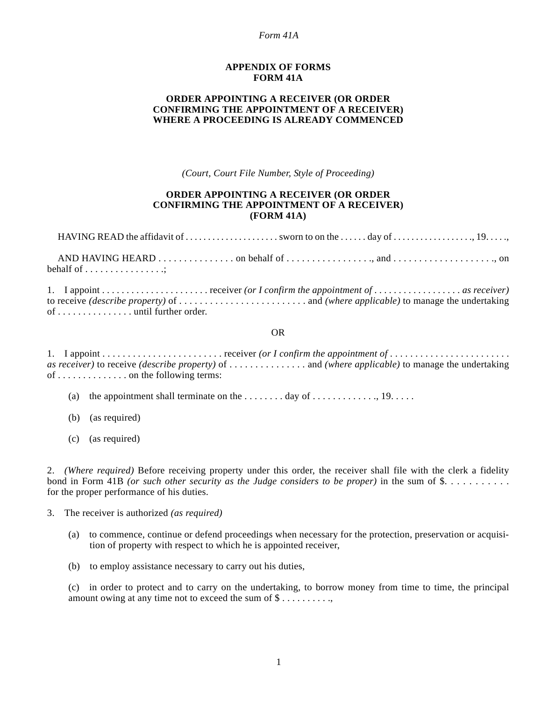#### *Form 41A*

### **APPENDIX OF FORMS FORM 41A**

# **ORDER APPOINTING A RECEIVER (OR ORDER CONFIRMING THE APPOINTMENT OF A RECEIVER) WHERE A PROCEEDING IS ALREADY COMMENCED**

*(Court, Court File Number, Style of Proceeding)*

# **ORDER APPOINTING A RECEIVER (OR ORDER CONFIRMING THE APPOINTMENT OF A RECEIVER) (FORM 41A)**

| behalf of $\dots \dots \dots \dots \dots$ |  |  |
|-------------------------------------------|--|--|

1. I appoint . . . . . . . . . . . . . . . . . . . . . . receiver *(or I confirm the appointment of* . . . . . . . . . . . . . . . . . . *as receiver)* to receive *(describe property)* of . . . . . . . . . . . . . . . . . . . . . . . . . and *(where applicable)* to manage the undertaking of . . . . . . . . . . . . . . . until further order.

#### OR

1. I appoint . . . . . . . . . . . . . . . . . . . . . . . . receiver *(or I confirm the appointment of* . . . . . . . . . . . . . . . . . . . . . . . . *as receiver)* to receive *(describe property)* of . . . . . . . . . . . . . . . and *(where applicable)* to manage the undertaking of . . . . . . . . . . . . . . on the following terms:

- (a) the appointment shall terminate on the . . . . . . . . day of . . . . . . . . . . . . ., 19. . . . .
- (b) (as required)
- (c) (as required)

2. *(Where required)* Before receiving property under this order, the receiver shall file with the clerk a fidelity bond in Form 41B *(or such other security as the Judge considers to be proper)* in the sum of  $\$\ldots$ ........ for the proper performance of his duties.

3. The receiver is authorized *(as required)*

- (a) to commence, continue or defend proceedings when necessary for the protection, preservation or acquisition of property with respect to which he is appointed receiver,
- (b) to employ assistance necessary to carry out his duties,

(c) in order to protect and to carry on the undertaking, to borrow money from time to time, the principal amount owing at any time not to exceed the sum of \$.........